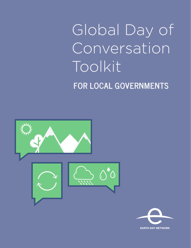# Global Day of Conversation Toolkit **FOR LOCAL GOVERNMENTS**



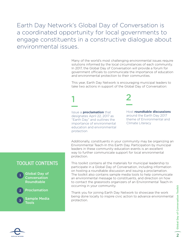Earth Day Network's Global Day of Conversation is a coordinated opportunity for local governments to engage constituents in a constructive dialogue about environmental issues.

> Many of the world's most challenging environmental issues require solutions informed by the local circumstances of each community. In 2017, the Global Day of Conversation will provide a forum for government officials to communicate the importance of education and environmental protection to their communities.

This year, Earth Day Network is encouraging municipal leaders to take two actions in support of the Global Day of Conversation:

Issue a **proclamation** that designates April 22, 2017 as "Earth Day" and outlines the importance of environmental education and environmental protection

1 2

Host **roundtable discussions** around the Earth Day 2017 theme of Environmental and Climate Literacy

Additionally, constituents in your community may be organizing an Environmental Teach-In this Earth Day. Participation by municipal leaders in these community education events is an excellent way to further communicate support for local environmental protection.

This toolkit contains all the materials for municipal leadership to participate in a Global Day of Conversation, including information on hosting a roundtable discussion and issuing a proclamation. The toolkit also contains sample media tools to help communicate an environmental message to constituents, and direction on how to contact the grassroots organizers of an Environmental Teach-In occurring in your community.

Thank you for joining Earth Day Network to showcase the work being done locally to inspire civic action to advance environmental protection.

#### **TOOLKIT CONTENTS**



Sample Media Tools **3**

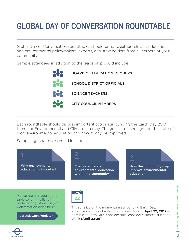# **GLOBAL DAY OF CONVERSATION ROUNDTABLE**

Global Day of Conversation roundtables should bring together relevant education and environmental policymakers, experts, and stakeholders from all corners of your community.

Sample attendees in addition to the leadership could include:



Each roundtable should discuss important topics surrounding the Earth Day 2017 theme of Environmental and Climate Literacy. The goal is to shed light on the state of local environmental education and how it may be improved.

Sample agenda topics could include:



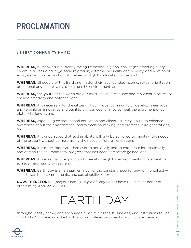# **PROCLAMATION**

#### **(INSERT COMMUNITY NAME)**

**WHEREAS,** humankind is currently facing tremendous global challenges affecting every community, including large-scale migration, extreme inequality and poverty, degradation of ecosystems, mass extinction of species, and global climate change; and

**WHEREAS,** all people of this Earth, no matter their race, gender, income, sexual orientation, or national origin, have a right to a healthy environment; and

**WHEREAS,** the youth of the world are our most valuable resource and represent a source of endless creativity and potential; and

**WHEREAS,** it is necessary for the citizens of our global community to develop green jobs and to build an innovative and equitable green economy to combat the aforementioned global challenges; and

**WHEREAS,** expanding environmental education and climate literacy is vital to enhance awareness about the environment, inform decision-making, and protect future generations, and

**WHEREAS,** it is understood that sustainability will only be achieved by meeting the needs of the present without compromising the needs of future generations;

**WHEREAS,** it is more important than ever to act locally and to cooperate internationally and defend the environmental progress that has been heretofore gained; and

**WHEREAS,** it is essential to expand and diversify the global environmental movement to achieve maximum progress; and

**WHEREAS,** Earth Day is an annual reminder of the constant need for environmental activism, stewardship commitments, and sustainability efforts.

**NOW, THEREFORE,** I, (mayor's name) Mayor of (city name) have the distinct honor of proclaiming April 22, 2017 as



throughout (city name) and encourage all of its citizens, businesses, and institutions to use EARTH DAY to celebrate the Earth and promote environmental and climate literacy.

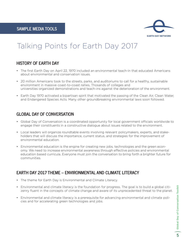

# Talking Points for Earth Day 2017

#### **HISTORY OF EARTH DAY**

- The first Earth Day on April 22, 1970 included an environmental teach-in that educated Americans about environmental and conservation issues.
- 20 million Americans took to the streets, parks, and auditoriums to call for a healthy, sustainable environment in massive coast-to-coast rallies. Thosands of colleges and universities organized demonstrations and teach-ins against the deterioration of the environment.
- Earth Day 1970 activated a bipartisan spirit that motivated the passing of the Clean Air, Clean Water, and Endangered Species Acts. Many other groundbreaking environmental laws soon followed.

#### **GLOBAL DAY OF CONVERSATION**

- Global Day of Conversation is a coordinated opportunity for local government officials worldwide to engage their constituents in a constructive dialogue about issues related to the environment.
- Local leaders will organize roundtable events involving relevant policymakers, experts, and stakeholders that will discuss the importance, current status, and strategies for the improvement of environmental education.
- Environmental education is the engine for creating new jobs, technologies and the green economy. We need to increase environmental awareness through effective policies and environmental education based curricula. Everyone must join the conversation to bring forth a brighter future for communities.

#### **EARTH DAY 2017 THEME – ENVIRONMENTAL AND CLIMATE LITERACY**

- The theme for Earth Day is Environmental and Climate Literacy.
- Environmental and climate literacy is the foundation for progress. The goal is to build a global citizenry fluent in the concepts of climate change and aware of its unprecedented threat to the planet.
- Environmental and climate literacy is a prerequisite for advancing environmental and climate policies and for accelerating green technologies and jobs.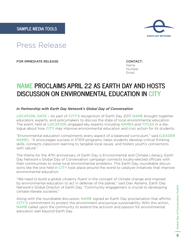

# Press Release

FOR IMMEDIATE RELEASE CONTACT:

Name Number Email

### **NAME PROCLAIMS APRIL 22 AS EARTH DAY AND HOSTS DISCUSSION ON ENVIRONMENTAL EDUCATION IN CITY**

#### *In Partnership with Earth Day Network's Global Day of Conversation*

LOCATION, DATE – As part of CITY'S recognition of Earth Day 2017, NAME brought together educators, experts, and policymakers to discuss the state of local environmental education. The event, held at LOCATION, engaged key experts including NAMES and TITLES in a dialogue about how CITY may improve environmental education and civic action for its students.

"Environmental education compliments every aspect of a balanced curriculum," said (LEADER NAME). "It encourages success in STEM programs, helps students develop critical thinking skills, connects classroom learning to tangible local issues, and fosters youth's connections with nature."

The theme for the 47th anniversary of Earth Day is Environmental and Climate Literacy. Earth Day Network's Global Day of Conversation campaign connects locally-elected officials with their communities to solve local environmental problems. This Earth Day, roundtable discussions like the one held in CITY took place around the world to catalyze initiatives that improve environmental education.

"We need to build a global citizenry fluent in the concept of climate change and inspired by environmental education to act in defense of the planet," said Dan Abrams, Earth Day Network's Global Director of Earth Day. "Community engagement is crucial to developing climate-literate societies."

Along with the roundtable discussion, NAME signed an Earth Day proclamation that affirms CITY'S commitment to protect the environment and pursue sustainability. With this action, NAME called upon the community to extend the activism and passion for environmental education well beyond Earth Day.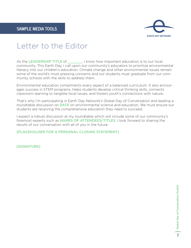

# Letter to the Editor

As the LEADERSHIP TITLE of \_\_\_\_\_\_, I know how important education is to our local community. This Earth Day, I call upon our community's educators to prioritize environmental literacy into our children's education. Climate change and other environmental issues remain some of the world's most pressing concerns and our students must graduate from our community schools with the skills to address them.

Environmental education compliments every aspect of a balanced curriculum. It also encourages success in STEM programs, helps students develop critical thinking skills, connects classroom learning to tangible local issues, and fosters youth's connections with nature.

That's why I'm participating in Earth Day Network's Global Day of Conversation and leading a roundtable discussion on DATE on environmental science and education. We must ensure our students are receiving the comprehensive education they need to succeed.

I expect a robust discussion at my roundtable which will include some of our community's foremost experts such as **NAMES OF ATTENDEES/TITLES**. I look forward to sharing the results of our conversation with all of you in the future.

[PLACEHOLDER FOR A PERSONAL CLOSING STATEMENT]

[SIGNATURE]